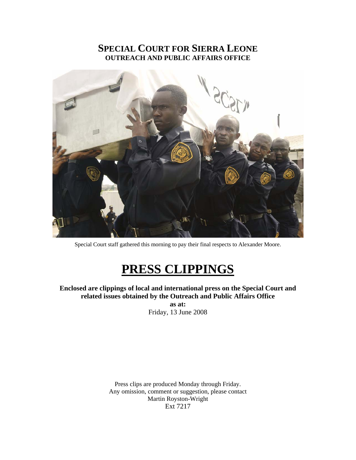## **SPECIAL COURT FOR SIERRA LEONE OUTREACH AND PUBLIC AFFAIRS OFFICE**



Special Court staff gathered this morning to pay their final respects to Alexander Moore.

# **PRESS CLIPPINGS**

**Enclosed are clippings of local and international press on the Special Court and related issues obtained by the Outreach and Public Affairs Office** 

**as at:**  Friday, 13 June 2008

Press clips are produced Monday through Friday. Any omission, comment or suggestion, please contact Martin Royston-Wright Ext 7217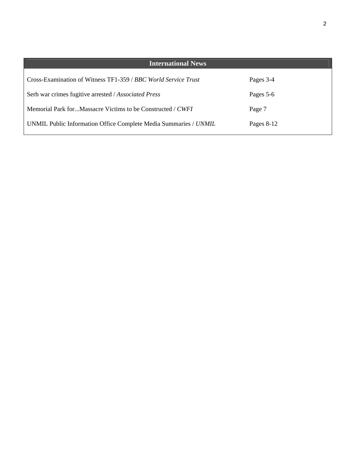| <b>International News</b>                                        |              |
|------------------------------------------------------------------|--------------|
| Cross-Examination of Witness TF1-359 / BBC World Service Trust   | Pages 3-4    |
| Serb war crimes fugitive arrested / Associated Press             | Pages 5-6    |
| Memorial Park forMassacre Victims to be Constructed / CWFI       | Page 7       |
| UNMIL Public Information Office Complete Media Summaries / UNMIL | Pages $8-12$ |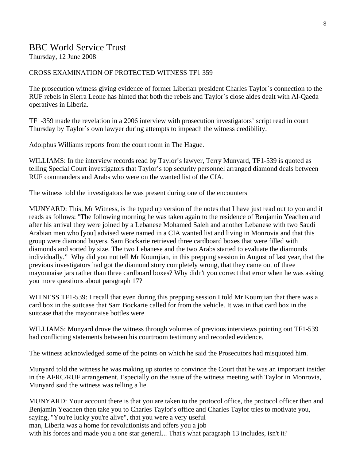## BBC World Service Trust

Thursday, 12 June 2008

#### CROSS EXAMINATION OF PROTECTED WITNESS TF1 359

The prosecution witness giving evidence of former Liberian president Charles Taylor`s connection to the RUF rebels in Sierra Leone has hinted that both the rebels and Taylor`s close aides dealt with Al-Qaeda operatives in Liberia.

TF1-359 made the revelation in a 2006 interview with prosecution investigators' script read in court Thursday by Taylor`s own lawyer during attempts to impeach the witness credibility.

Adolphus Williams reports from the court room in The Hague.

WILLIAMS: In the interview records read by Taylor's lawyer, Terry Munyard, TF1-539 is quoted as telling Special Court investigators that Taylor's top security personnel arranged diamond deals between RUF commanders and Arabs who were on the wanted list of the CIA.

The witness told the investigators he was present during one of the encounters

MUNYARD: This, Mr Witness, is the typed up version of the notes that I have just read out to you and it reads as follows: "The following morning he was taken again to the residence of Benjamin Yeachen and after his arrival they were joined by a Lebanese Mohamed Saleh and another Lebanese with two Saudi Arabian men who [you] advised were named in a CIA wanted list and living in Monrovia and that this group were diamond buyers. Sam Bockarie retrieved three cardboard boxes that were filled with diamonds and sorted by size. The two Lebanese and the two Arabs started to evaluate the diamonds individually." Why did you not tell Mr Koumjian, in this prepping session in August of last year, that the previous investigators had got the diamond story completely wrong, that they came out of three mayonnaise jars rather than three cardboard boxes? Why didn't you correct that error when he was asking you more questions about paragraph 17?

WITNESS TF1-539: I recall that even during this prepping session I told Mr Koumjian that there was a card box in the suitcase that Sam Bockarie called for from the vehicle. It was in that card box in the suitcase that the mayonnaise bottles were

WILLIAMS: Munyard drove the witness through volumes of previous interviews pointing out TF1-539 had conflicting statements between his courtroom testimony and recorded evidence.

The witness acknowledged some of the points on which he said the Prosecutors had misquoted him.

Munyard told the witness he was making up stories to convince the Court that he was an important insider in the AFRC/RUF arrangement. Especially on the issue of the witness meeting with Taylor in Monrovia, Munyard said the witness was telling a lie.

MUNYARD: Your account there is that you are taken to the protocol office, the protocol officer then and Benjamin Yeachen then take you to Charles Taylor's office and Charles Taylor tries to motivate you, saying, "You're lucky you're alive", that you were a very useful man, Liberia was a home for revolutionists and offers you a job with his forces and made you a one star general... That's what paragraph 13 includes, isn't it?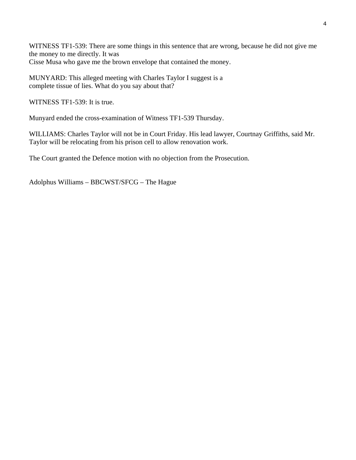WITNESS TF1-539: There are some things in this sentence that are wrong, because he did not give me the money to me directly. It was Cisse Musa who gave me the brown envelope that contained the money.

MUNYARD: This alleged meeting with Charles Taylor I suggest is a complete tissue of lies. What do you say about that?

WITNESS TF1-539: It is true.

Munyard ended the cross-examination of Witness TF1-539 Thursday.

WILLIAMS: Charles Taylor will not be in Court Friday. His lead lawyer, Courtnay Griffiths, said Mr. Taylor will be relocating from his prison cell to allow renovation work.

The Court granted the Defence motion with no objection from the Prosecution.

Adolphus Williams – BBCWST/SFCG – The Hague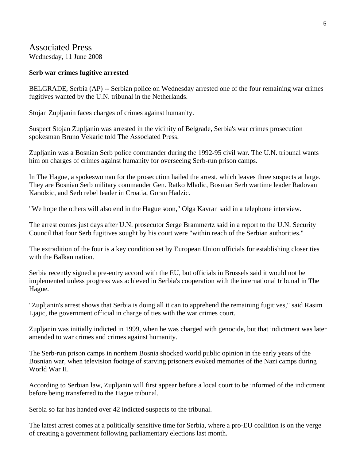## Associated Press

Wednesday, 11 June 2008

#### **Serb war crimes fugitive arrested**

BELGRADE, Serbia (AP) -- Serbian police on Wednesday arrested one of the four remaining war crimes fugitives wanted by the U.N. tribunal in the Netherlands.

Stojan Zupljanin faces charges of crimes against humanity.

Suspect Stojan Zupljanin was arrested in the vicinity of Belgrade, Serbia's war crimes prosecution spokesman Bruno Vekaric told The Associated Press.

Zupljanin was a Bosnian Serb police commander during the 1992-95 civil war. The U.N. tribunal wants him on charges of crimes against humanity for overseeing Serb-run prison camps.

In The Hague, a spokeswoman for the prosecution hailed the arrest, which leaves three suspects at large. They are Bosnian Serb military commander Gen. Ratko Mladic, Bosnian Serb wartime leader Radovan Karadzic, and Serb rebel leader in Croatia, Goran Hadzic.

"We hope the others will also end in the Hague soon," Olga Kavran said in a telephone interview.

The arrest comes just days after U.N. prosecutor Serge Brammertz said in a report to the U.N. Security Council that four Serb fugitives sought by his court were "within reach of the Serbian authorities."

The extradition of the four is a key condition set by European Union officials for establishing closer ties with the Balkan nation.

Serbia recently signed a pre-entry accord with the EU, but officials in Brussels said it would not be implemented unless progress was achieved in Serbia's cooperation with the international tribunal in The Hague.

"Zupljanin's arrest shows that Serbia is doing all it can to apprehend the remaining fugitives," said Rasim Ljajic, the government official in charge of ties with the war crimes court.

Zupljanin was initially indicted in 1999, when he was charged with genocide, but that indictment was later amended to war crimes and crimes against humanity.

The Serb-run prison camps in northern Bosnia shocked world public opinion in the early years of the Bosnian war, when television footage of starving prisoners evoked memories of the Nazi camps during World War II.

According to Serbian law, Zupljanin will first appear before a local court to be informed of the indictment before being transferred to the Hague tribunal.

Serbia so far has handed over 42 indicted suspects to the tribunal.

The latest arrest comes at a politically sensitive time for Serbia, where a pro-EU coalition is on the verge of creating a government following parliamentary elections last month.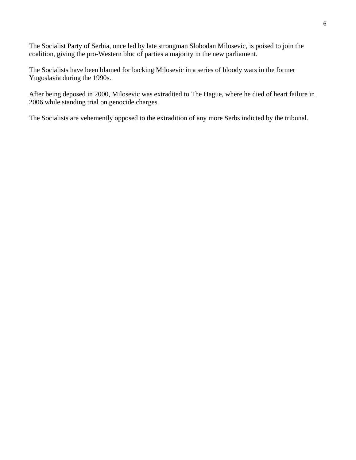The Socialist Party of Serbia, once led by late strongman Slobodan Milosevic, is poised to join the coalition, giving the pro-Western bloc of parties a majority in the new parliament.

The Socialists have been blamed for backing Milosevic in a series of bloody wars in the former Yugoslavia during the 1990s.

After being deposed in 2000, Milosevic was extradited to The Hague, where he died of heart failure in 2006 while standing trial on genocide charges.

The Socialists are vehemently opposed to the extradition of any more Serbs indicted by the tribunal.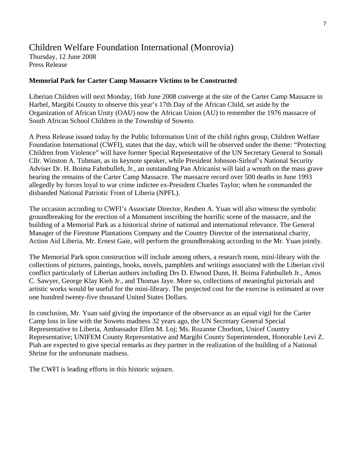## Children Welfare Foundation International (Monrovia)

Thursday, 12 June 2008 Press Release

#### **Memorial Park for Carter Camp Massacre Victims to be Constructed**

Liberian Children will next Monday, 16th June 2008 converge at the site of the Carter Camp Massacre in Harbel, Margibi County to observe this year's 17th Day of the African Child, set aside by the Organization of African Unity (OAU) now the African Union (AU) to remember the 1976 massacre of South African School Children in the Township of Soweto.

A Press Release issued today by the Public Information Unit of the child rights group, Children Welfare Foundation International (CWFI), states that the day, which will be observed under the theme: "Protecting Children from Violence" will have former Special Representative of the UN Secretary General to Somali Cllr. Winston A. Tubman, as its keynote speaker, while President Johnson-Sirleaf's National Security Adviser Dr. H. Boima Fahnbulleh, Jr., an outstanding Pan Africanist will laid a wreath on the mass grave bearing the remains of the Carter Camp Massacre. The massacre record over 500 deaths in June 1993 allegedly by forces loyal to war crime indictee ex-President Charles Taylor; when he commanded the disbanded National Patriotic Front of Liberia (NPFL).

The occasion according to CWFI's Associate Director, Reuben A. Yuan will also witness the symbolic groundbreaking for the erection of a Monument inscribing the horrific scene of the massacre, and the building of a Memorial Park as a historical shrine of national and international relevance. The General Manager of the Firestone Plantations Company and the Country Director of the international charity, Action Aid Liberia, Mr. Ernest Gaie, will perform the groundbreaking according to the Mr. Yuan jointly.

The Memorial Park upon construction will include among others, a research room, mini-library with the collections of pictures, paintings, books, novels, pamphlets and writings associated with the Liberian civil conflict particularly of Liberian authors including Drs D. Elwood Dunn, H. Boima Fahnbulleh Jr., Amos C. Sawyer, George Klay Kieh Jr., and Thomas Jaye. More so, collections of meaningful pictorials and artistic works would be useful for the mini-library. The projected cost for the exercise is estimated at over one hundred twenty-five thousand United States Dollars.

In conclusion, Mr. Yuan said giving the importance of the observance as an equal vigil for the Carter Camp loss in line with the Soweto madness 32 years ago, the UN Secretary General Special Representative to Liberia, Ambassador Ellen M. Loj; Ms. Rozanne Chorlton, Unicef Country Representative; UNIFEM County Representative and Margibi County Superintendent, Honorable Levi Z. Piah are expected to give special remarks as they partner in the realization of the building of a National Shrine for the unfortunate madness.

The CWFI is leading efforts in this historic sojourn.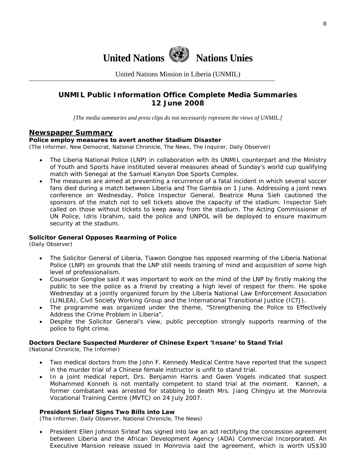

United Nations Mission in Liberia (UNMIL)

### **UNMIL Public Information Office Complete Media Summaries 12 June 2008**

*[The media summaries and press clips do not necessarily represent the views of UNMIL.]* 

#### **Newspaper Summary**

#### **Police employ measures to avert another Stadium Disaster**

(The Informer, New Democrat, National Chronicle, The News, The Inquirer, Daily Observer)

- The Liberia National Police (LNP) in collaboration with its UNMIL counterpart and the Ministry of Youth and Sports have instituted several measures ahead of Sunday's world cup qualifying match with Senegal at the Samuel Kanyon Doe Sports Complex.
- The measures are aimed at preventing a recurrence of a fatal incident in which several soccer fans died during a match between Liberia and The Gambia on 1 June. Addressing a joint news conference on Wednesday, Police Inspector General, Beatrice Muna Sieh cautioned the sponsors of the match not to sell tickets above the capacity of the stadium. Inspector Sieh called on those without tickets to keep away from the stadium. The Acting Commissioner of UN Police, Idris Ibrahim, said the police and UNPOL will be deployed to ensure maximum security at the stadium.

#### **Solicitor General Opposes Rearming of Police**

(Daily Observer)

- The Solicitor General of Liberia, Tiawon Gongloe has opposed rearming of the Liberia National Police (LNP) on grounds that the LNP still needs training of mind and acquisition of some high level of professionalism.
- Counselor Gongloe said it was important to work on the mind of the LNP by firstly making the public to see the police as a friend by creating a high level of respect for them. He spoke Wednesday at a jointly organized forum by the Liberia National Law Enforcement Association (LINLEA), Civil Society Working Group and the International Transitional Justice (ICTJ).
- The programme was organized under the theme, "Strengthening the Police to Effectively Address the Crime Problem in Liberia".
- Despite the Solicitor General's view, public perception strongly supports rearming of the police to fight crime.

#### **Doctors Declare Suspected Murderer of Chinese Expert 'Insane' to Stand Trial**

(National Chronicle, The Informer)

- Two medical doctors from the John F. Kennedy Medical Centre have reported that the suspect in the murder trial of a Chinese female instructor is unfit to stand trial.
- In a joint medical report, Drs. Benjamin Harris and Gwen Vogels indicated that suspect Mohammed Konneh is not mentally competent to stand trial at the moment. Kanneh, a former combatant was arrested for stabbing to death Mrs. Jiang Chingyu at the Monrovia Vocational Training Centre (MVTC) on 24 July 2007.

#### **President Sirleaf Signs Two Bills into Law**

(The Informer, Daily Observer, National Chronicle, The News)

• President Ellen Johnson Sirleaf has signed into law an act rectifying the concession agreement between Liberia and the African Development Agency (ADA) Commercial Incorporated. An Executive Mansion release issued in Monrovia said the agreement, which is worth US\$30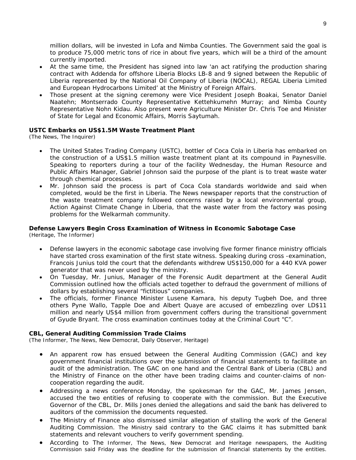million dollars, will be invested in Lofa and Nimba Counties. The Government said the goal is to produce 75,000 metric tons of rice in about five years, which will be a third of the amount currently imported.

- At the same time, the President has signed into law 'an act ratifying the production sharing contract with Addenda for offshore Liberia Blocks LB-8 and 9 signed between the Republic of Liberia represented by the National Oil Company of Liberia (NOCAL), REGAL Liberia Limited and European Hydrocarbons Limited' at the Ministry of Foreign Affairs.
- Those present at the signing ceremony were Vice President Joseph Boakai, Senator Daniel Naatehn; Montserrado County Representative Kettehkumehn Murray; and Nimba County Representative Nohn Kidau. Also present were Agriculture Minister Dr. Chris Toe and Minister of State for Legal and Economic Affairs, Morris Saytumah.

#### **USTC Embarks on US\$1.5M Waste Treatment Plant**

(The News, The Inquirer)

- The United States Trading Company (USTC), bottler of Coca Cola in Liberia has embarked on the construction of a US\$1.5 million waste treatment plant at its compound in Paynesville. Speaking to reporters during a tour of the facility Wednesday, the Human Resource and Public Affairs Manager, Gabriel Johnson said the purpose of the plant is to treat waste water through chemical processes.
- Mr. Johnson said the process is part of Coca Cola standards worldwide and said when completed, would be the first in Liberia. The News newspaper reports that the construction of the waste treatment company followed concerns raised by a local environmental group, Action Against Climate Change in Liberia, that the waste water from the factory was posing problems for the Welkarmah community.

## **Defense Lawyers Begin Cross Examination of Witness in Economic Sabotage Case**

(Heritage, The Informer)

- Defense lawyers in the economic sabotage case involving five former finance ministry officials have started cross examination of the first state witness. Speaking during cross -examination, Francois Junius told the court that the defendants withdrew US\$150,000 for a 440 KVA power generator that was never used by the ministry.
- On Tuesday, Mr. Junius, Manager of the Forensic Audit department at the General Audit Commission outlined how the officials acted together to defraud the government of millions of dollars by establishing several "fictitious" companies.
- The officials, former Finance Minister Lusene Kamara, his deputy Tugbeh Doe, and three others Pyne Wallo, Tapple Doe and Albert Quaye are accused of embezzling over LD\$11 million and nearly US\$4 million from government coffers during the transitional government of Gyude Bryant. The cross examination continues today at the Criminal Court "C".

#### **CBL, General Auditing Commission Trade Claims**

(The Informer, The News, New Democrat, Daily Observer, Heritage)

- An apparent row has ensued between the General Auditing Commission (GAC) and key government financial institutions over the submission of financial statements to facilitate an audit of the administration. The GAC on one hand and the Central Bank of Liberia (CBL) and the Ministry of Finance on the other have been trading claims and counter-claims of noncooperation regarding the audit.
- Addressing a news conference Monday, the spokesman for the GAC, Mr. James Jensen, accused the two entities of refusing to cooperate with the commission. But the Executive Governor of the CBL, Dr. Mills Jones denied the allegations and said the bank has delivered to auditors of the commission the documents requested.
- The Ministry of Finance also dismissed similar allegation of stalling the work of the General Auditing Commission. The Ministry said contrary to the GAC claims it has submitted bank statements and relevant vouchers to verify government spending.
- According to The Informer, The News, New Democrat and Heritage newspapers, the Auditing Commission said Friday was the deadline for the submission of financial statements by the entities.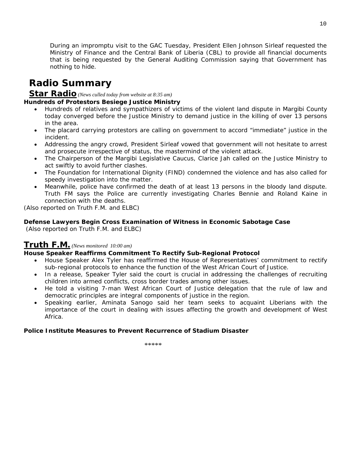During an impromptu visit to the GAC Tuesday, President Ellen Johnson Sirleaf requested the Ministry of Finance and the Central Bank of Liberia (CBL) to provide all financial documents that is being requested by the General Auditing Commission saying that Government has nothing to hide.

## **Radio Summary**

**Star Radio** *(News culled today from website at 8:35 am)* 

#### **Hundreds of Protestors Besiege Justice Ministry**

- Hundreds of relatives and sympathizers of victims of the violent land dispute in Margibi County today converged before the Justice Ministry to demand justice in the killing of over 13 persons in the area.
- The placard carrying protestors are calling on government to accord "immediate" justice in the incident.
- Addressing the angry crowd, President Sirleaf vowed that government will not hesitate to arrest and prosecute irrespective of status, the mastermind of the violent attack.
- The Chairperson of the Margibi Legislative Caucus, Clarice Jah called on the Justice Ministry to act swiftly to avoid further clashes.
- The Foundation for International Dignity (FIND) condemned the violence and has also called for speedy investigation into the matter.
- Meanwhile, police have confirmed the death of at least 13 persons in the bloody land dispute. Truth FM says the Police are currently investigating Charles Bennie and Roland Kaine in connection with the deaths.

*(Also reported on Truth F.M. and ELBC)* 

#### **Defense Lawyers Begin Cross Examination of Witness in Economic Sabotage Case**

 *(Also reported on Truth F.M. and ELBC)* 

## **Truth F.M.** *(News monitored 10:00 am)*

#### **House Speaker Reaffirms Commitment To Rectify Sub-Regional Protocol**

- House Speaker Alex Tyler has reaffirmed the House of Representatives' commitment to rectify sub-regional protocols to enhance the function of the West African Court of Justice.
- In a release, Speaker Tyler said the court is crucial in addressing the challenges of recruiting children into armed conflicts, cross border trades among other issues.
- He told a visiting 7-man West African Court of Justice delegation that the rule of law and democratic principles are integral components of justice in the region.
- Speaking earlier, Aminata Sanogo said her team seeks to acquaint Liberians with the importance of the court in dealing with issues affecting the growth and development of West Africa.

#### **Police Institute Measures to Prevent Recurrence of Stadium Disaster**

10

 $*****$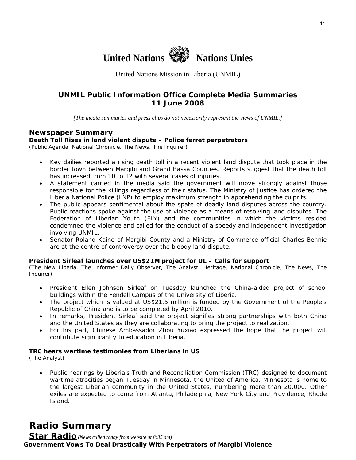

United Nations Mission in Liberia (UNMIL)

## **UNMIL Public Information Office Complete Media Summaries 11 June 2008**

*[The media summaries and press clips do not necessarily represent the views of UNMIL.]* 

#### **Newspaper Summary**

#### **Death Toll Rises in land violent dispute – Police ferret perpetrators**

(Public Agenda, National Chronicle, The News, The Inquirer)

- Key dailies reported a rising death toll in a recent violent land dispute that took place in the border town between Margibi and Grand Bassa Counties. Reports suggest that the death toll has increased from 10 to 12 with several cases of injuries.
- A statement carried in the media said the government will move strongly against those responsible for the killings regardless of their status. The Ministry of Justice has ordered the Liberia National Police (LNP) to employ maximum strength in apprehending the culprits.
- The public appears sentimental about the spate of deadly land disputes across the country. Public reactions spoke against the use of violence as a means of resolving land disputes. The Federation of Liberian Youth (FLY) and the communities in which the victims resided condemned the violence and called for the conduct of a speedy and independent investigation involving UNMIL.
- Senator Roland Kaine of Margibi County and a Ministry of Commerce official Charles Bennie are at the centre of controversy over the bloody land dispute.

#### **President Sirleaf launches over US\$21M project for UL – Calls for support**

(The New Liberia, The Informer Daily Observer, The Analyst. Heritage, National Chronicle, The News, The Inquirer)

- President Ellen Johnson Sirleaf on Tuesday launched the China-aided project of school buildings within the Fendell Campus of the University of Liberia.
- The project which is valued at US\$21.5 million is funded by the Government of the People's Republic of China and is to be completed by April 2010.
- In remarks, President Sirleaf said the project signifies strong partnerships with both China and the United States as they are collaborating to bring the project to realization.
- For his part, Chinese Ambassador Zhou Yuxiao expressed the hope that the project will contribute significantly to education in Liberia.

#### **TRC hears wartime testimonies from Liberians in US**

(The Analyst)

• Public hearings by Liberia's Truth and Reconciliation Commission (TRC) designed to document wartime atrocities began Tuesday in Minnesota, the United of America. Minnesota is home to the largest Liberian community in the United States, numbering more than 20,000. Other exiles are expected to come from Atlanta, Philadelphia, New York City and Providence, Rhode Island.

## **Radio Summary**

**Star Radio** *(News culled today from website at 8:35 am)*  **Government Vows To Deal Drastically With Perpetrators of Margibi Violence**